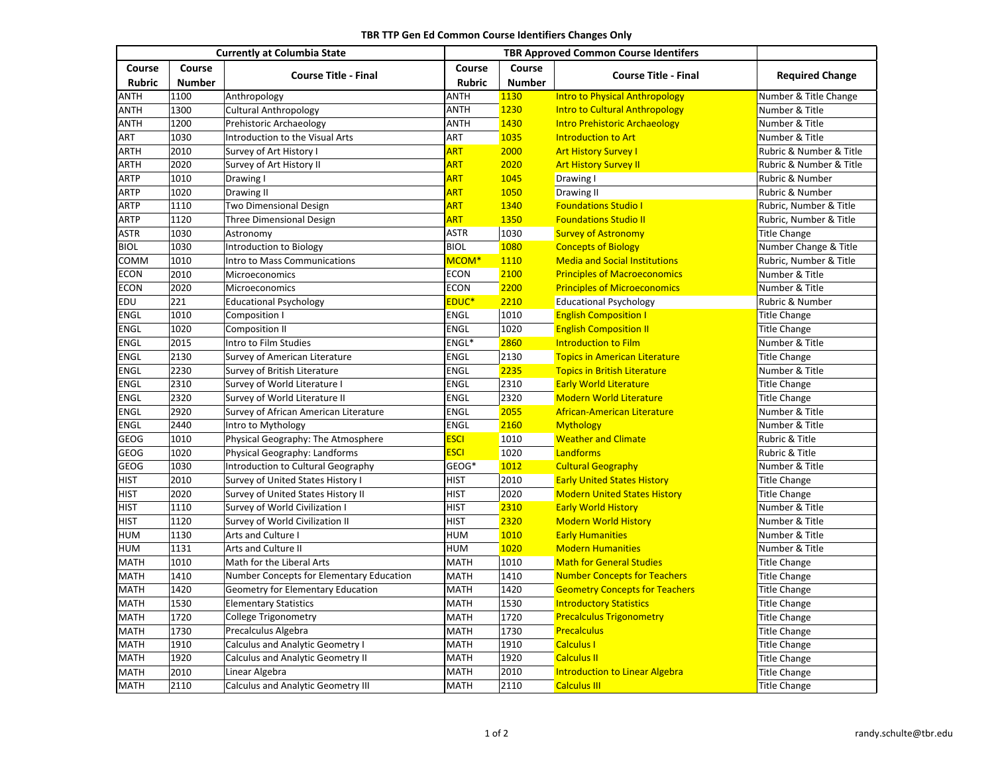|                         | <b>Currently at Columbia State</b> |                                           |                   | <b>TBR Approved Common Course Identifers</b> |                                       |                         |
|-------------------------|------------------------------------|-------------------------------------------|-------------------|----------------------------------------------|---------------------------------------|-------------------------|
| Course<br><b>Rubric</b> | Course<br><b>Number</b>            | <b>Course Title - Final</b>               | Course<br>Rubric  | Course<br><b>Number</b>                      | <b>Course Title - Final</b>           | <b>Required Change</b>  |
| <b>ANTH</b>             | 1100                               | Anthropology                              | ANTH              | 1130                                         | <b>Intro to Physical Anthropology</b> | Number & Title Change   |
| <b>ANTH</b>             | 1300                               | <b>Cultural Anthropology</b>              | <b>ANTH</b>       | 1230                                         | <b>Intro to Cultural Anthropology</b> | Number & Title          |
| <b>ANTH</b>             | 1200                               | Prehistoric Archaeology                   | <b>ANTH</b>       | 1430                                         | <b>Intro Prehistoric Archaeology</b>  | Number & Title          |
| ART                     | 1030                               | Introduction to the Visual Arts           | ART               | 1035                                         | Introduction to Art                   | Number & Title          |
| <b>ARTH</b>             | 2010                               | Survey of Art History I                   | <b>ART</b>        | 2000                                         | <b>Art History Survey I</b>           | Rubric & Number & Title |
| <b>ARTH</b>             | 2020                               | Survey of Art History II                  | <b>ART</b>        | 2020                                         | <b>Art History Survey II</b>          | Rubric & Number & Title |
| <b>ARTP</b>             | 1010                               | Drawing I                                 | <b>ART</b>        | 1045                                         |                                       | Rubric & Number         |
| <b>ARTP</b>             | 1020                               | Drawing II                                | <b>ART</b>        | 1050                                         | Drawing I                             | Rubric & Number         |
| <b>ARTP</b>             |                                    |                                           | <b>ART</b>        |                                              | Drawing II                            |                         |
|                         | 1110                               | <b>Two Dimensional Design</b>             |                   | 1340                                         | <b>Foundations Studio I</b>           | Rubric, Number & Title  |
| <b>ARTP</b>             | 1120                               | <b>Three Dimensional Design</b>           | <b>ART</b>        | 1350                                         | <b>Foundations Studio II</b>          | Rubric, Number & Title  |
| <b>ASTR</b>             | 1030                               | Astronomy                                 | <b>ASTR</b>       | 1030                                         | <b>Survey of Astronomy</b>            | <b>Title Change</b>     |
| <b>BIOL</b>             | 1030                               | Introduction to Biology                   | <b>BIOL</b>       | 1080                                         | <b>Concepts of Biology</b>            | Number Change & Title   |
| COMM                    | 1010                               | Intro to Mass Communications              | MCOM <sup>*</sup> | 1110                                         | <b>Media and Social Institutions</b>  | Rubric, Number & Title  |
| <b>ECON</b>             | 2010                               | Microeconomics                            | <b>ECON</b>       | 2100                                         | <b>Principles of Macroeconomics</b>   | Number & Title          |
| <b>ECON</b>             | 2020                               | Microeconomics                            | <b>ECON</b>       | 2200                                         | <b>Principles of Microeconomics</b>   | Number & Title          |
| EDU                     | 221                                | <b>Educational Psychology</b>             | EDUC <sup>*</sup> | 2210                                         | <b>Educational Psychology</b>         | Rubric & Number         |
| ENGL                    | 1010                               | Composition I                             | ENGL              | 1010                                         | <b>English Composition I</b>          | <b>Title Change</b>     |
| ENGL                    | 1020                               | Composition II                            | <b>ENGL</b>       | 1020                                         | <b>English Composition II</b>         | <b>Title Change</b>     |
| <b>ENGL</b>             | 2015                               | Intro to Film Studies                     | ENGL*             | 2860                                         | <b>Introduction to Film</b>           | Number & Title          |
| ENGL                    | 2130                               | Survey of American Literature             | <b>ENGL</b>       | 2130                                         | <b>Topics in American Literature</b>  | <b>Title Change</b>     |
| ENGL                    | 2230                               | Survey of British Literature              | ENGL              | 2235                                         | <b>Topics in British Literature</b>   | Number & Title          |
| ENGL                    | 2310                               | Survey of World Literature I              | ENGL              | 2310                                         | <b>Early World Literature</b>         | <b>Title Change</b>     |
| <b>ENGL</b>             | 2320                               | Survey of World Literature II             | <b>ENGL</b>       | 2320                                         | <b>Modern World Literature</b>        | <b>Title Change</b>     |
| ENGL                    | 2920                               | Survey of African American Literature     | ENGL              | 2055                                         | African-American Literature           | Number & Title          |
| ENGL                    | 2440                               | Intro to Mythology                        | <b>ENGL</b>       | 2160                                         | <b>Mythology</b>                      | Number & Title          |
| <b>GEOG</b>             | 1010                               | Physical Geography: The Atmosphere        | <b>ESCI</b>       | 1010                                         | <b>Weather and Climate</b>            | Rubric & Title          |
| <b>GEOG</b>             | 1020                               | Physical Geography: Landforms             | <b>ESCI</b>       | 1020                                         | Landforms                             | Rubric & Title          |
| GEOG                    | 1030                               | Introduction to Cultural Geography        | GEOG*             | 1012                                         | <b>Cultural Geography</b>             | Number & Title          |
| <b>HIST</b>             | 2010                               | Survey of United States History I         | <b>HIST</b>       | 2010                                         | <b>Early United States History</b>    | <b>Title Change</b>     |
| <b>HIST</b>             | 2020                               | Survey of United States History II        | <b>HIST</b>       | 2020                                         | <b>Modern United States History</b>   | <b>Title Change</b>     |
| <b>HIST</b>             | 1110                               | Survey of World Civilization I            | <b>HIST</b>       | 2310                                         | <b>Early World History</b>            | Number & Title          |
| <b>HIST</b>             | 1120                               | Survey of World Civilization II           | <b>HIST</b>       | 2320                                         | <b>Modern World History</b>           | Number & Title          |
| <b>HUM</b>              | 1130                               | Arts and Culture I                        | <b>HUM</b>        | 1010                                         | <b>Early Humanities</b>               | Number & Title          |
| <b>HUM</b>              | 1131                               | Arts and Culture II                       | <b>HUM</b>        | 1020                                         | <b>Modern Humanities</b>              | Number & Title          |
| <b>MATH</b>             | 1010                               | Math for the Liberal Arts                 | <b>MATH</b>       | 1010                                         | <b>Math for General Studies</b>       | <b>Title Change</b>     |
| <b>MATH</b>             | 1410                               | Number Concepts for Elementary Education  | <b>MATH</b>       | 1410                                         | <b>Number Concepts for Teachers</b>   | <b>Title Change</b>     |
| <b>MATH</b>             | 1420                               |                                           | <b>MATH</b>       | 1420                                         |                                       |                         |
|                         | 1530                               | Geometry for Elementary Education         |                   |                                              | <b>Geometry Concepts for Teachers</b> | <b>Title Change</b>     |
| <b>MATH</b>             |                                    | <b>Elementary Statistics</b>              | <b>MATH</b>       | 1530                                         | <b>Introductory Statistics</b>        | <b>Title Change</b>     |
| <b>MATH</b>             | 1720                               | College Trigonometry                      | <b>MATH</b>       | 1720                                         | <b>Precalculus Trigonometry</b>       | <b>Title Change</b>     |
| <b>MATH</b>             | 1730                               | Precalculus Algebra                       | <b>MATH</b>       | 1730                                         | <b>Precalculus</b>                    | <b>Title Change</b>     |
| <b>MATH</b>             | 1910                               | <b>Calculus and Analytic Geometry I</b>   | <b>MATH</b>       | 1910                                         | <b>Calculus I</b>                     | <b>Title Change</b>     |
| <b>MATH</b>             | 1920                               | <b>Calculus and Analytic Geometry II</b>  | <b>MATH</b>       | 1920                                         | <b>Calculus II</b>                    | <b>Title Change</b>     |
| <b>MATH</b>             | 2010                               | Linear Algebra                            | <b>MATH</b>       | 2010                                         | <b>Introduction to Linear Algebra</b> | <b>Title Change</b>     |
| <b>MATH</b>             | 2110                               | <b>Calculus and Analytic Geometry III</b> | <b>MATH</b>       | 2110                                         | <b>Calculus III</b>                   | <b>Title Change</b>     |